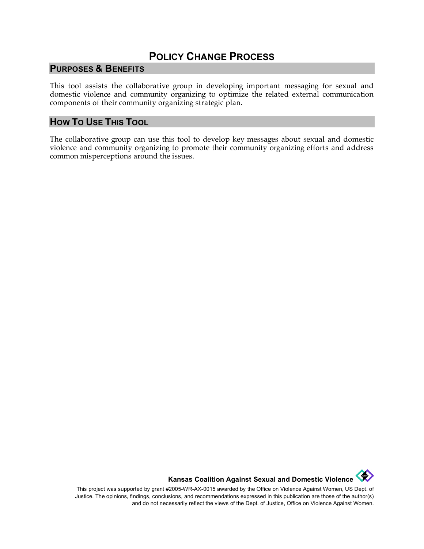# **POLICY CHANGE PROCESS**

### **PURPOSES & BENEFITS**

This tool assists the collaborative group in developing important messaging for sexual and domestic violence and community organizing to optimize the related external communication components of their community organizing strategic plan.

### **HOW TO USE THIS TOOL**

The collaborative group can use this tool to develop key messages about sexual and domestic violence and community organizing to promote their community organizing efforts and address common misperceptions around the issues.

**Kansas Coalition Against Sexual and Domestic Violence** 

This project was supported by grant #2005-WR-AX-0015 awarded by the Office on Violence Against Women, US Dept. of Justice. The opinions, findings, conclusions, and recommendations expressed in this publication are those of the author(s) and do not necessarily reflect the views of the Dept. of Justice, Office on Violence Against Women.